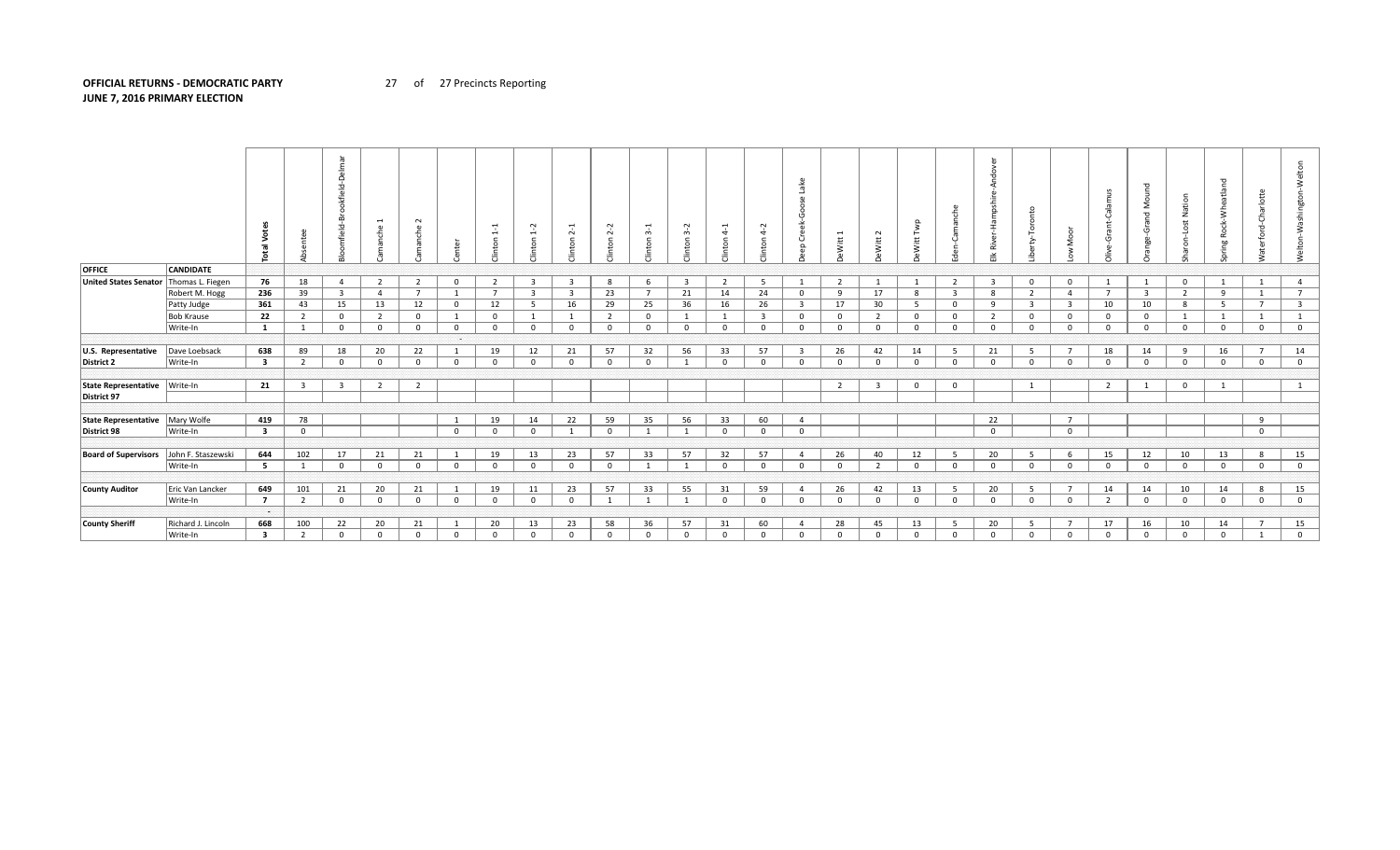## **OFFICIAL RETURNS - DEMOCRATIC PARTY** 27 of 27 Precincts Reporting **JUNE 7, 2016 PRIMARY ELECTION**

|                              |                    | <b>Total</b>            | ഄ                        | 트<br>്ധ<br>Þ<br>ூ<br>bokf<br>面<br>ഄ | nche           | $\sim$<br>nche<br>Ρã |              | $\mathbf{\mathbf{d}}$<br>$\div$<br>inton | Ņ<br>$\div$<br>nton     | $\overline{\phantom{0}}$<br>$\sim$<br>nton | Ņ<br>$\sim$<br>$\circ$ | ന്<br>nton     | $\sim$<br>$\sim$<br>nton | $\vec{a}$<br>inton | $\sim$<br>ෑ<br>inton    | Ō<br>$\Omega$  | $\overline{ }$<br>Vitt | $\sim$<br>Witt          | Twp<br>Witt             |                         | ω<br>pshi<br>Ik River   | Toronto<br>≵            |                         | Calamu         | Σ<br>짇<br>$\sigma$<br>ंग | Nation<br>š<br>$\circ$ | ರ<br>atlan<br>Whei<br>舌<br>∝<br><b>b</b> | <b>Charlotte</b><br>rford-<br>Vater | Welto          |
|------------------------------|--------------------|-------------------------|--------------------------|-------------------------------------|----------------|----------------------|--------------|------------------------------------------|-------------------------|--------------------------------------------|------------------------|----------------|--------------------------|--------------------|-------------------------|----------------|------------------------|-------------------------|-------------------------|-------------------------|-------------------------|-------------------------|-------------------------|----------------|--------------------------|------------------------|------------------------------------------|-------------------------------------|----------------|
| <b>OFFICE</b>                | <b>CANDIDATE</b>   |                         |                          |                                     |                |                      |              |                                          |                         |                                            |                        |                |                          |                    |                         |                |                        |                         |                         |                         |                         |                         |                         |                |                          |                        |                                          |                                     |                |
| <b>United States Senator</b> | Thomas L. Fiegen   | 76                      | 18                       | $\overline{4}$                      | 2              | $\overline{2}$       | $^{\circ}$   | 2                                        | $\overline{\mathbf{3}}$ | $\overline{\mathbf{3}}$                    | 8                      | - 6            | $\overline{\mathbf{3}}$  | 2                  | 5                       |                | 2                      | 1                       |                         | 2                       | $\overline{\mathbf{3}}$ | $\mathbf 0$             | $\Omega$                |                | 1                        | $^{\circ}$             |                                          |                                     | 4              |
|                              | Robert M. Hogg     | 236                     | 39                       | $\overline{\mathbf{3}}$             | $\overline{4}$ | $\overline{7}$       |              | $\overline{7}$                           | $\overline{\mathbf{3}}$ | $\overline{\mathbf{3}}$                    | 23                     | $\overline{7}$ | 21                       | 14                 | 24                      | $^{\circ}$     | -9                     | 17                      | 8                       | $\overline{\mathbf{3}}$ | 8                       | $\overline{2}$          | $\overline{a}$          | $\overline{7}$ | $\overline{\mathbf{3}}$  | $\overline{2}$         | -9                                       | 1                                   | $\overline{7}$ |
|                              | Patty Judge        | 361                     | 43                       | 15                                  | 13             | 12                   | 0            | 12                                       | - 5                     | 16                                         | 29                     | 25             | 36                       | 16                 | 26                      | - 3            | 17                     | 30                      | 5                       | 0                       | q                       | $\overline{\mathbf{3}}$ | 3                       | 10             | 10                       | -8                     | - 5                                      | $\overline{7}$                      | 3              |
|                              | <b>Bob Krause</b>  | 22                      | $\overline{2}$           | $\mathbf{0}$                        | 2              | $\mathbf{0}$         |              | $^{\circ}$                               | - 1                     |                                            | $\overline{2}$         | $\mathbf 0$    |                          |                    | $\overline{\mathbf{3}}$ | $\mathbf{0}$   | $\mathbf{0}$           | $\overline{2}$          | $\overline{\mathbf{0}}$ | $^{\circ}$              | $\overline{2}$          | $\mathbf 0$             | $\Omega$                | $^{\circ}$     | $\mathbf 0$              |                        |                                          | 1                                   |                |
|                              | Write-In           | $\mathbf{1}$            |                          | $\mathbf{0}$                        | $\overline{0}$ | $\mathbf 0$          | $\mathbf{0}$ | $^{\circ}$                               | $\overline{0}$          | $^{\circ}$                                 | $\mathbf 0$            | $\mathbf{0}$   | $^{\circ}$               | $\mathbf 0$        | $\mathbf 0$             | $\Omega$       | $\mathbf 0$            | $\mathbf 0$             | $\overline{\mathbf{0}}$ | $\mathbf 0$             | $\Omega$                | $\overline{0}$          | $\Omega$                | $\mathbf 0$    | $\mathbf 0$              | $\mathbf 0$            | $\mathbf 0$                              | $\mathbf 0$                         | $\mathbf 0$    |
|                              |                    |                         |                          |                                     |                |                      | a a s        |                                          |                         |                                            |                        |                |                          |                    |                         |                |                        |                         |                         |                         |                         |                         |                         |                |                          |                        |                                          |                                     |                |
| U.S. Representative          | Dave Loebsack      | 638                     | 89                       | 18                                  | 20             | 22                   | 1            | 19                                       | 12                      | 21                                         | 57                     | 32             | 56                       | 33                 | 57                      | -3             | 26                     | 42                      | 14                      | - 5                     | 21                      | - 5                     |                         | 18             | 14                       | 9                      | 16                                       | $\overline{7}$                      | 14             |
| District 2                   | Write-In           | $\overline{\mathbf{3}}$ | $\overline{2}$           | $\overline{0}$                      | $\mathbf{0}$   | $\mathbf 0$          | $\Omega$     | $\mathbf 0$                              | $\mathbf{0}$            | $\overline{0}$                             | $\mathbf{0}$           | $\mathbf{0}$   |                          | $\mathbf 0$        | $\mathbf 0$             | $\Omega$       | $\Omega$               | $\overline{0}$          | 0                       | $^{\circ}$              | $\Omega$                | $\mathbf 0$             | $\Omega$                | $\mathbf{0}$   | $\mathbf{0}$             | $\Omega$               | $\mathbf{0}$                             | $\overline{0}$                      | $\mathbf 0$    |
|                              |                    |                         |                          |                                     |                |                      |              |                                          |                         |                                            |                        |                |                          |                    |                         |                |                        |                         |                         |                         |                         |                         |                         |                |                          |                        |                                          |                                     |                |
| State Representative         | Write-In           | 21                      | $\mathbf{R}$             | $\overline{3}$                      | $\overline{2}$ | $\overline{2}$       |              |                                          |                         |                                            |                        |                |                          |                    |                         |                | 2                      | $\overline{\mathbf{3}}$ | $\overline{\mathbf{0}}$ | $\mathbf 0$             |                         | - 1                     |                         | $\overline{2}$ | $\mathbf{1}$             | $^{\circ}$             |                                          |                                     |                |
| District 97                  |                    |                         |                          |                                     |                |                      |              |                                          |                         |                                            |                        |                |                          |                    |                         |                |                        |                         |                         |                         |                         |                         |                         |                |                          |                        |                                          |                                     |                |
|                              |                    |                         |                          |                                     |                |                      |              |                                          |                         |                                            |                        |                |                          |                    |                         |                |                        |                         |                         |                         |                         |                         |                         |                |                          |                        |                                          |                                     |                |
| State Representative         | Mary Wolfe         | 419                     | 78                       |                                     |                |                      | -1           | 19                                       | 14                      | 22                                         | 59                     | 35             | 56                       | 33                 | 60                      | $\overline{a}$ |                        |                         |                         |                         | 22                      |                         | $\overline{7}$          |                |                          |                        |                                          | 9                                   |                |
| District 98                  | Write-In           | $\overline{\mathbf{3}}$ | $\Omega$                 |                                     |                |                      | $^{\circ}$   | $^{\circ}$                               | $\overline{0}$          |                                            | $\mathbf{0}$           | $\mathbf{1}$   |                          | $\overline{0}$     | $\mathbf{0}$            | $^{\circ}$     |                        |                         |                         |                         | $\Omega$                |                         | $\overline{\mathbf{0}}$ |                |                          |                        |                                          | $\overline{0}$                      |                |
|                              |                    |                         |                          |                                     |                |                      |              |                                          |                         |                                            |                        |                |                          |                    |                         |                |                        |                         |                         |                         |                         |                         |                         |                |                          |                        |                                          |                                     |                |
| <b>Board of Supervisors</b>  | John F. Staszewski | 644                     | 102                      | 17                                  | 21             | 21                   | 1            | 19                                       | 13                      | 23                                         | 57                     | 33             | 57                       | 32                 | 57                      | 4              | 26                     | 40                      | 12                      | - 5                     | 20                      | 5                       | 6                       | 15             | 12                       | 10                     | 13                                       | 8                                   | 15             |
|                              | Write-In           | 5                       |                          | $\Omega$                            | $\mathbf{0}$   | $\Omega$             | $\Omega$     | $\Omega$                                 | 0                       | $\Omega$                                   | $\mathbf{0}$           |                |                          | $\Omega$           | $\mathbf 0$             | $\Omega$       | $\Omega$               | $\overline{2}$          | $\Omega$                | $\mathbf{0}$            | $\Omega$                | $\Omega$                | $\Omega$                | $\Omega$       | $\mathbf 0$              | $\Omega$               | $\mathbf{0}$                             | $\overline{0}$                      | $\mathbf 0$    |
|                              |                    |                         |                          |                                     |                |                      |              |                                          |                         |                                            |                        |                |                          |                    |                         |                |                        |                         |                         |                         |                         |                         |                         |                |                          |                        |                                          |                                     |                |
| <b>County Auditor</b>        | Eric Van Lancker   | 649                     | 101                      | 21                                  | 20             | 21                   | 1            | 19                                       | 11                      | 23                                         | 57                     | 33             | 55                       | 31                 | 59                      | -4             | 26                     | 42                      | 13                      | 5                       | 20                      | - 5                     |                         | 14             | 14                       | 10                     | 14                                       | 8                                   | 15             |
|                              | Write-In           | $\overline{7}$          | $\overline{\phantom{a}}$ | $\mathbf{0}$                        | $\overline{0}$ | $\mathbf{0}$         | $\Omega$     | $\mathbf 0$                              | $\overline{0}$          | $\Omega$                                   | $\overline{1}$         | $\overline{1}$ |                          | $\overline{0}$     | $\mathbf 0$             | $\Omega$       | $\mathbf{0}$           | $\mathbf{0}$            | $\overline{0}$          | $^{\circ}$              | $\Omega$                | $\overline{0}$          | $\Omega$                | $\overline{2}$ | $\mathbf{0}$             | $\mathbf 0$            | $\overline{0}$                           | $\overline{0}$                      | $\mathbf{0}$   |
|                              |                    |                         |                          |                                     |                |                      |              |                                          |                         |                                            |                        |                |                          |                    |                         |                |                        |                         |                         |                         |                         |                         |                         |                |                          |                        |                                          |                                     |                |
| <b>County Sheriff</b>        | Richard J. Lincoln | 668                     | 100                      | 22                                  | 20             | 21                   |              | 20                                       | 13                      | 23                                         | 58                     | 36             | 57                       | 31                 | 60                      |                | 28                     | 45                      | 13                      | - 5                     | 20                      | - 5                     |                         | 17             | 16                       | 10                     | 14                                       | $\overline{7}$                      | 15             |
|                              | Write-In           | 3                       | $\overline{\phantom{a}}$ | $\Omega$                            | $\Omega$       | $\Omega$             | $\Omega$     | $\Omega$                                 | $\mathbf 0$             | $\Omega$                                   | $^{\circ}$             | $\Omega$       | $\Omega$                 | $\Omega$           | $\mathbf 0$             | $\Omega$       | $\Omega$               | $\mathbf 0$             | $\mathbf 0$             | $\Omega$                | $\Omega$                | $\mathbf{0}$            | $\Omega$                | $\Omega$       | $\Omega$                 | $\Omega$               | $\Omega$                                 | $\mathbf{1}$                        | $\overline{0}$ |